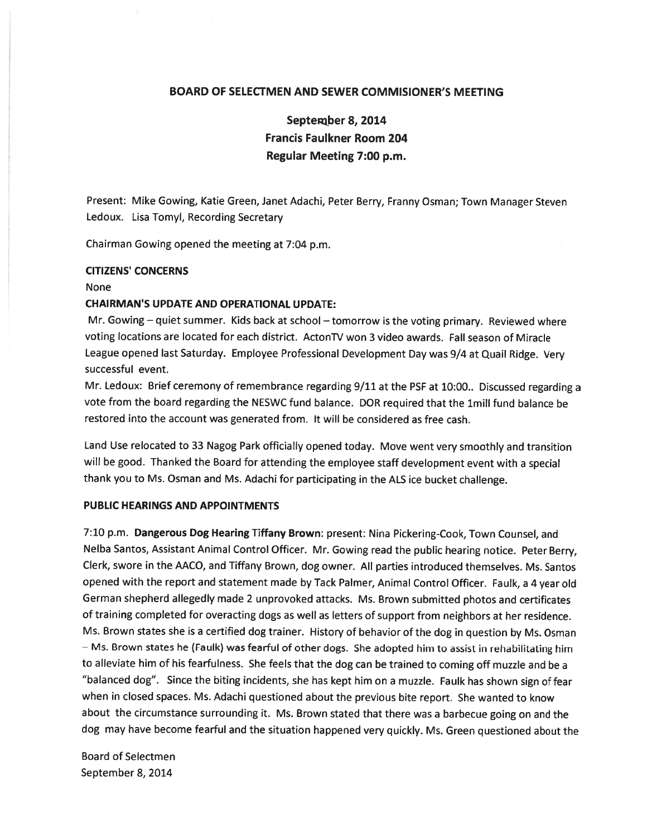## BOARD OF SELECTMEN AND SEWER COMMISIONER'S MEETING

September 8, 2014 Francis Faulkner Room 204 Regular Meeting 7:00 p.m.

Present: Mike Gowing, Katie Green, Janet Adachi, Peter Berry, Franny Osman; Town Manager Steven Ledoux. Lisa Tomyl, Recording Secretary

Chairman Gowing opene<sup>d</sup> the meeting at 7:04 p.m.

#### CITIZENS' CONCERNS

None

## CHAIRMAN'S UPDATE AND OPERATIONAL UPDATE:

Mr. Gowing — quiet summer. Kids back at school — tomorrow is the voting primary. Reviewed where voting locations are located for each district. ActonTV won 3 video awards. Fall season of Miracle League opene<sup>d</sup> last Saturday. Employee Professional Development Day was 9/4 at Quail Ridge. Very successful event.

Mr. Ledoux: Brief ceremony of remembrance regarding 9/11 at the PSF at 10:00.. Discussed regarding <sup>a</sup> vote from the board regarding the NESWC fund balance. DOR required that the 1mill fund balance be restored into the account was generated from. It will be considered as free cash.

Land Use relocated to <sup>33</sup> Nagog Park officially opene<sup>d</sup> today. Move went very smoothly and transition will be good. Thanked the Board for attending the employee staff development event with <sup>a</sup> special thank you to Ms. Osman and Ms. Adachi for participating in the ALS ice bucket challenge.

#### PUBLIC HEARINGS AND APPOINTMENTS

7:10 p.m. Dangerous Dog Hearing Tiffany Brown: present: Nina Pickering-Cook, Town Counsel, and Nelba Santos, Assistant Animal Control Officer. Mr. Gowing read the public hearing notice. Peter Berry, Clerk, swore in the AACO, and Tiffany Brown, dog owner. All parties introduced themselves. Ms. Santos opene<sup>d</sup> with the repor<sup>t</sup> and statement made by Tack Palmer, Animal Control Officer. Faulk, <sup>a</sup> <sup>4</sup> year old German shepherd allegedly made <sup>2</sup> unprovoked attacks. Ms. Brown submitted <sup>p</sup>hotos and certificates of training completed for overacting dogs as well as letters of suppor<sup>t</sup> from neighbors at her residence. Ms. Brown states she is <sup>a</sup> certified dog trainer. History of behavior of the dog in question by Ms. Osman — Ms. Brown states he (Faulk) was fearful of other dogs. She adopted him to assist in rehabilitating him to alleviate him of his fearfulness. She feels that the dog can be trained to coming off muzzle and be <sup>a</sup> "balanced dog". Since the biting incidents, she has kept him on <sup>a</sup> muzzle. Faulk has shown sign of fear when in closed spaces. Ms. Adachi questioned about the previous bite report. She wanted to know about the circumstance surrounding it. Ms. Brown stated that there was <sup>a</sup> barbecue going on and the dog may have become fearful and the situation happened very quickly. Ms. Green questioned about the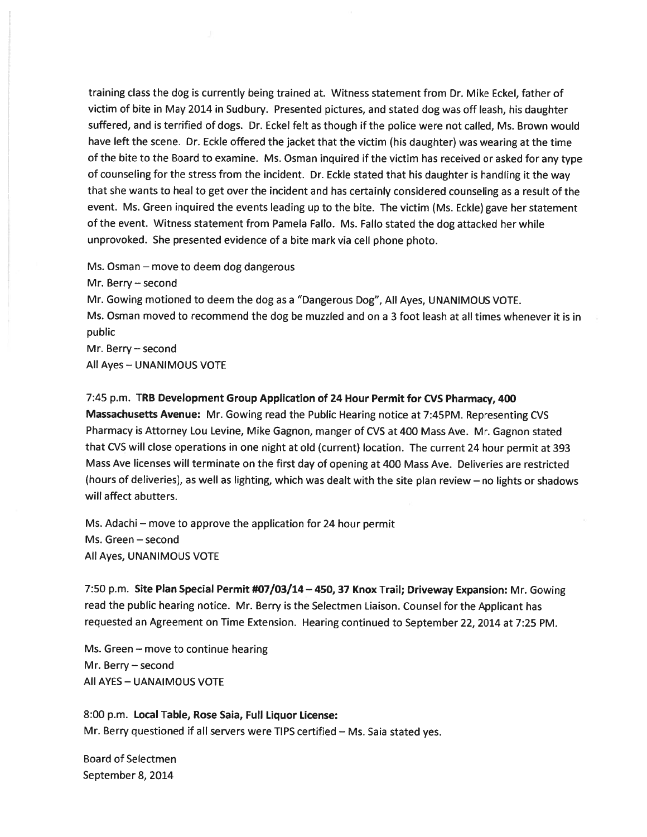training class the dog is currently being trained at. Witness statement from Dr. Mike Eckel, father of victim of bite in May <sup>2014</sup> in Sudbury. Presented <sup>p</sup>ictures, and stated dog was off leash, his daughter suffered, and is terrified of dogs. Dr. Eckel felt as though if the police were not called, Ms. Brown would have left the scene. Dr. Eckle offered the jacket that the victim (his daughter) was wearing at the time of the bite to the Board to examine. Ms. Osman inquired if the victim has received or asked for any type of counseling for the stress from the incident. Dr. Eckle stated that his daughter is handling it the way that she wants to heal to ge<sup>t</sup> over the incident and has certainly considered counseling as <sup>a</sup> result of the event. Ms. Green inquired the events leading up to the bite. The victim (Ms. Eckle) gave her statement of the event. Witness statement from Pamela Fallo. Ms. Fallo stated the dog attacked her while unprovoked. She presented evidence of <sup>a</sup> bite mark via cell <sup>p</sup>hone <sup>p</sup>hoto.

Ms. Osman — move to deem dog dangerous

Mr. Berry—second

Mr. Gowing motioned to deem the dog as <sup>a</sup> "Dangerous Dog", All Ayes, UNANIMOUS VOTE. Ms. Osman moved to recommend the dog be muzzled and on <sup>a</sup> 3 foot leash at all times whenever it is in public

Mr. Berry—second

All Ayes — UNANIMOUS VOTE

#### 7:45 p.m. TRB Development Group Application of <sup>24</sup> Hour Permit for CVS Pharmacy, <sup>400</sup>

Massachusetts Avenue: Mr. Gowing read the Public Hearing notice at 7:45PM. Representing CVS Pharmacy is Attorney Lou Levine, Mike Gagnon, manger of CVS at <sup>400</sup> Mass Ave. Mr. Gagnon stated that CVS will close operations in one night at old (current) location. The current <sup>24</sup> hour permit at <sup>393</sup> Mass Ave licenses will terminate on the first day of opening at 400 Mass Ave. Deliveries are restricted (hours of deliveries), as well as lighting, which was dealt with the site <sup>p</sup>lan review — no lights or shadows will affect abutters.

Ms. Adachi — move to approve the application for <sup>24</sup> hour permit Ms. Green — second All Ayes, UNANIMOUS VOTE

7:50 p.m. Site Plan Special Permit #07/03/14—450, <sup>37</sup> Knox Trail; Driveway Expansion: Mr. Gowing read the public hearing notice. Mr. Berry is the Selectmen Liaison. Counsel for the Applicant has requested an Agreement on Time Extension. Hearing continued to September 22, <sup>2014</sup> at 7:25 PM.

Ms. Green — move to continue hearing Mr. Berry—second All AYES — UANAIMOUS VOTE

2:00 p.m. Local Table, Rose Saia, Full Liquor License: Mr. Berry questioned if all servers were TIPS certified — Ms. Saia stated yes.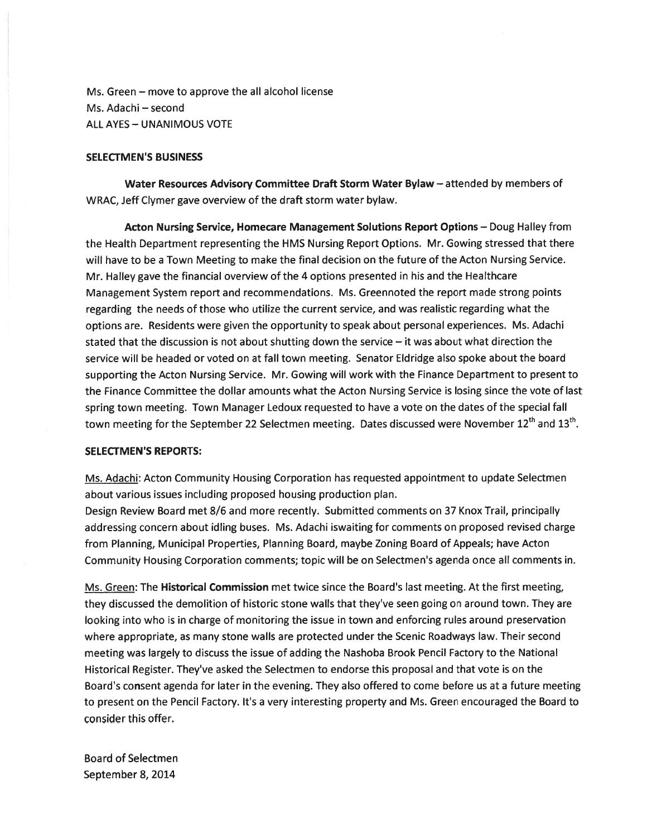Ms. Green — move to approve the all alcohol license Ms. Adachi — second ALL AYES — UNANIMOUS VOTE

## SELECTMEN'S BUSINESS

Water Resources Advisory Committee Draft Storm Water Bylaw — attended by members of WRAC, Jeff Clymer gave overview of the draft storm water bylaw.

Acton Nursing Service, Homecare Management Solutions Report Options — Doug Halley from the Health Department representing the HMS Nursing Report Options. Mr. Gowing stressed that there will have to be <sup>a</sup> Town Meeting to make the final decision on the future of the Acton Nursing Service. Mr. Halley gave the financial overview of the 4 options presented in his and the Healthcare Management System repor<sup>t</sup> and recommendations. Ms. Greennoted the repor<sup>t</sup> made strong points regarding the needs of those who utilize the current service, and was realistic regarding what the options are. Residents were given the opportunity to speak about personal experiences. Ms. Adachi stated that the discussion is not about shutting down the service — it was about what direction the service will be headed or voted on at fall town meeting. Senator Eldridge also spoke about the board supporting the Acton Nursing Service. Mr. Gowing will work with the Finance Department to presen<sup>t</sup> to the Finance Committee the dollar amounts what the Acton Nursing Service is losing since the vote of last spring town meeting. Town Manager Ledoux requested to have <sup>a</sup> vote on the dates of the special fall town meeting for the September 22 Selectmen meeting. Dates discussed were November 12<sup>th</sup> and 13<sup>th</sup>.

#### SELECTMEN'S REPORTS:

Ms. Adachi: Acton Community Housing Corporation has requested appointment to update Selectmen about various issues including proposed housing production plan.

Design Review Board met 8/6 and more recently. Submitted comments on 37 Knox Trail, principally addressing concern about idling buses. Ms. Adachi iswaiting for comments on proposed revised charge from Planning, Municipal Properties, Planning Board, maybe Zoning Board of Appeals; have Acton Community Housing Corporation comments; topic will be on Selectmen's agenda once all comments in.

Ms. Green: The Historical Commission met twice since the Board's last meeting. At the first meeting, they discussed the demolition of historic stone walls that they've seen going on around town. They are looking into who is in charge of monitoring the issue in town and enforcing rules around preservation where appropriate, as many stone walls are protected under the Scenic Roadways law. Their second meeting was largely to discuss the issue of adding the Nashoba Brook Pencil Factory to the National Historical Register. They've asked the Selectmen to endorse this proposal and that vote is on the Board's consent agenda for later in the evening. They also offered to come before us at <sup>a</sup> future meeting to presen<sup>t</sup> on the Pencil Factory. It's <sup>a</sup> very interesting property and Ms. Green encouraged the Board to consider this offer.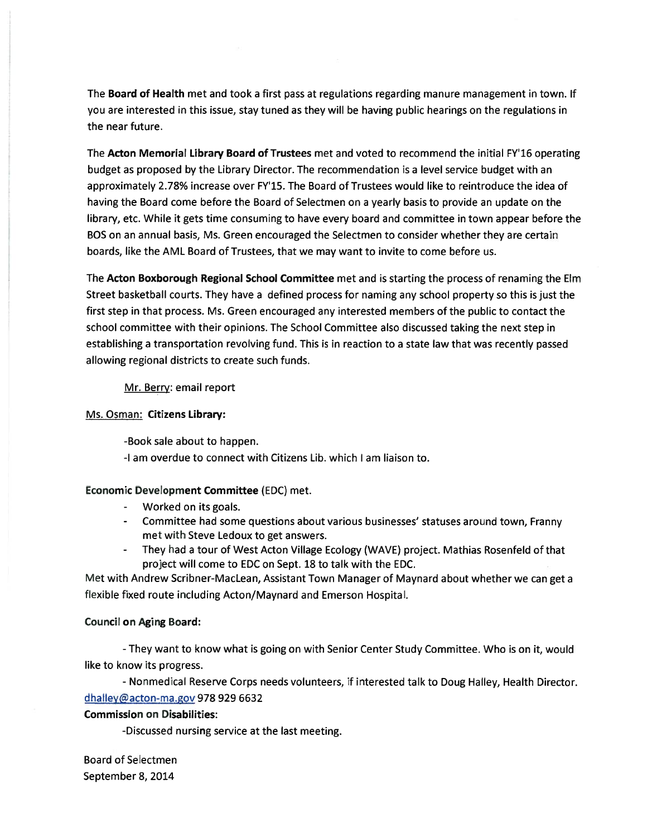The Board of Health met and took a first pass at regulations regarding manure management in town. If you are interested in this issue, stay tuned as they will be having public hearings on the regulations in the near future.

The Acton Memorial Library Board of Trustees met and voted to recommend the initial FY'16 operating budget as proposed by the Library Director. The recommendation is <sup>a</sup> level service budget with an approximately 2.78% increase over FY'15. The Board of Trustees would like to reintroduce the idea of having the Board come before the Board of Selectmen on <sup>a</sup> yearly basis to provide an update on the library, etc. While it gets time consuming to have every board and committee in town appear before the BOS on an annual basis, Ms. Green encouraged the Selectmen to consider whether they are certain boards, like the AML Board of Trustees, that we may want to invite to come before us.

The Acton Boxborough Regional School Committee met and is starting the process of renaming the Elm Street basketball courts. They have <sup>a</sup> defined process for naming any school property so this is just the first step in that process. Ms. Green encouraged any interested members of the public to contact the school committee with their opinions. The School Committee also discussed taking the next step in establishing <sup>a</sup> transportation revolving fund. This is in reaction to <sup>a</sup> state law that was recently passed allowing regional districts to create such funds.

Mr. Berry: email repor<sup>t</sup>

## Ms. Osman: Citizens Library:

-Book sale about to happen.

-l am overdue to connect with Citizens Lib. which I am liaison to.

## Economic Development Committee (EDC) met.

- Worked on its goals.
- Committee had some questions about various businesses' statuses around town, Franny met with Steve Ledoux to ge<sup>t</sup> answers.
- They had <sup>a</sup> tour of West Acton Village Ecology (WAVE) project. Mathias Rosenfeld of that project will come to EDC on Sept. 18 to talk with the EDC.

Met with Andrew Scribner-MacLean, Assistant Town Manager of Maynard about whether we can ge<sup>t</sup> <sup>a</sup> flexible fixed route including Acton/Maynard and Emerson Hospital.

## Council on Aging Board:

-They want to know what is going on with Senior Center Study Committee. Who is on it, would like to know its progress.

- Nonmedical Reserve Corps needs volunteers, if interested talk to Doug Halley, Health Director. dhalley@acton-ma.gov 978 929 6632

## Commission on Disabilities:

-Discussed nursing service at the last meeting.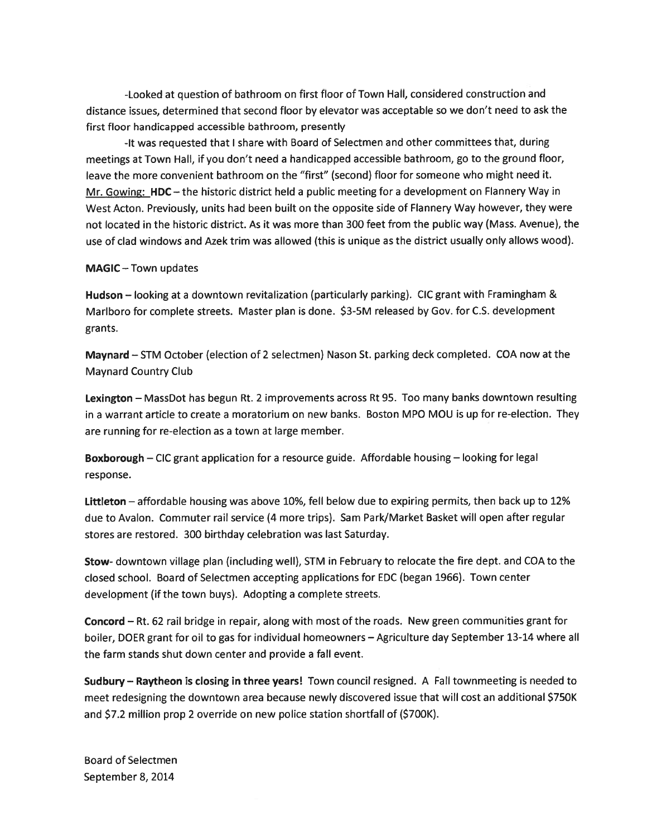-Looked at question of bathroom on first floor of Town Hall, considered construction and distance issues, determined that second floor by elevator was acceptable so we don't need to ask the first floor handicapped accessible bathroom, presently

-It was requested that <sup>I</sup> share with Board of Selectmen and other committees that, during meetings at Town Hall, if you don't need <sup>a</sup> handicapped accessible bathroom, go to the ground floor, leave the more convenient bathroom on the "first" (second) floor for someone who might need it. Mr. Gowing: HOC — the historic district held <sup>a</sup> public meeting for <sup>a</sup> development on Flannery Way in West Acton. Previously, units had been built on the opposite side of Flannery Way however, they were not located in the historic district. As it was more than 300 feet from the public way (Mass. Avenue), the use of clad windows and Azek trim was allowed (this is unique as the district usually only allows wood).

## MAGIC — Town updates

Hudson — looking at <sup>a</sup> downtown revitalization (particularly parking). CIC gran<sup>t</sup> with Framingham & Marlboro for complete streets. Master <sup>p</sup>lan is done. \$3-5M released by Gov. for C.S. development grants.

Maynard — STM October (election of <sup>2</sup> selectmen) Nason St. parking deck completed. COA now at the Maynard Country Club

Lexington — MassDot has begun Rt. 2 improvements across Rt 95. Too many banks downtown resulting in <sup>a</sup> warrant article to create <sup>a</sup> moratorium on new banks. Boston MPO MOU is up for re-election. They are running for re-election as <sup>a</sup> town at large member.

Boxborough — CIC gran<sup>t</sup> application for <sup>a</sup> resource guide. Affordable housing — looking for legal response.

Littleton — affordable housing was above 10%, fell below due to expiring permits, then back up to 12% due to Avalon. Commuter rail service (4 more trips). Sam Park/Market Basket will open after regular stores are restored. 300 birthday celebration was last Saturday.

Stow- downtown village plan (including well), STM in February to relocate the fire dept. and COA to the closed school. Board of Selectmen accepting applications for EDC (began 1966). Town center development (if the town buys). Adopting <sup>a</sup> complete streets.

Concord — Rt. 62 rail bridge in repair, along with most of the roads. New green communities gran<sup>t</sup> for boiler, DOER gran<sup>t</sup> for oil to gas for individual homeowners — Agriculture day September 13-14 where all the farm stands shut down center and provide <sup>a</sup> fail event.

Sudbury — Raytheon is closing in three years! Town council resigned. A Fall townmeeting is needed to meet redesigning the downtown area because newly discovered issue that will cost an additional \$750K and \$7.2 million prop 2 override on new police station shortfall of (\$700K).